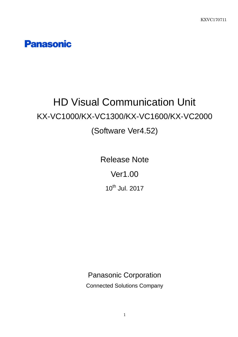**Panasonic** 

# HD Visual Communication Unit KX-VC1000/KX-VC1300/KX-VC1600/KX-VC2000 (Software Ver4.52)

Release Note Ver1.00 10<sup>th</sup> Jul. 2017

Panasonic Corporation

Connected Solutions Company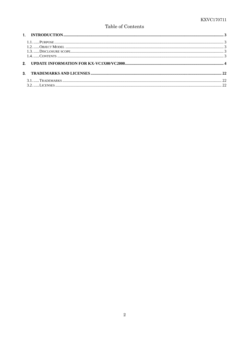#### Table of Contents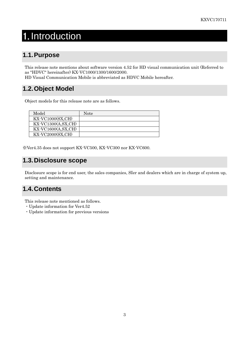# <span id="page-2-0"></span>1. Introduction

# <span id="page-2-1"></span>**1.1.Purpose**

This release note mentions about software version 4.52 for HD visual communication unit (Referred to as "HDVC" hereinafter) KX-VC1000/1300/1600/2000.

HD Visual Communication Mobile is abbreviated as HDVC Mobile hereafter.

## <span id="page-2-2"></span>**1.2.Object Model**

Object models for this release note are as follows.

| Model                                   | Note |
|-----------------------------------------|------|
| $\overline{\text{KX-VC1000(SX,CH)}}$    |      |
| $\overline{\text{KX-VC}}$ 1300(A,SX,CH) |      |
| $\overline{\text{KX-VC}}$ 1600(A,SX,CH) |      |
| $\overline{\text{KX-VC2000(SX,CH)}}$    |      |

※Ver4.35 does not support KX-VC500, KX-VC300 nor KX-VC600.

### <span id="page-2-3"></span>**1.3.Disclosure scope**

Disclosure scope is for end user, the sales companies, SIer and dealers which are in charge of system up, setting and maintenance.

## <span id="page-2-4"></span>**1.4.Contents**

This release note mentioned as follows.

- ・Update information for Ver4.52
- ・Update information for previous versions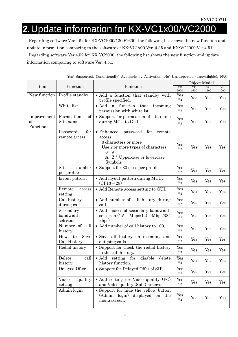# <span id="page-3-0"></span>2. Update information for KX-VC1x00/VC2000

Regarding software Ver.4.52 for KX-VC1000/1300/1600, the following list shows the new function and update information comparing to the software of KX-VC1x00 Ver. 4.35 and KX-VC2000 Ver.4.51. Regarding software Ver.4.52 for KX-VC2000, the following list shows the new function and update information comparing to software Ver. 4.51.

|                                |                                       |                                                                                                                                                                                           | Object Model                   |                        |                      |                   |
|--------------------------------|---------------------------------------|-------------------------------------------------------------------------------------------------------------------------------------------------------------------------------------------|--------------------------------|------------------------|----------------------|-------------------|
| Item                           | Function                              | Function                                                                                                                                                                                  | $\overline{\text{VC}}$<br>2000 | V <sub>C</sub><br>1600 | <b>VC</b><br>1300    | <b>VC</b><br>1000 |
| New function                   | Profile standby                       | · Add a function that standby with<br>profile specified.                                                                                                                                  | Yes<br>$\divideontimes_2$      | Yes                    | Yes                  | Yes               |
|                                | White list                            | $\bullet$ Add<br>function<br>that<br>incoming<br>$\mathbf{a}$<br>permission with whitelist.                                                                                               | Yes<br>$\divideontimes_2$      | Yes                    | Yes                  | Yes               |
| Improvement<br>of<br>Functions | Permeation<br>of<br>Site name         | • Support for permeation of site name<br>during MCU to GUI.                                                                                                                               | Yes<br>$\divideontimes_2$      | Yes                    | Yes                  | Yes               |
|                                | Password<br>for<br>remote access      | $\bullet$ Enhanced<br>password<br>for<br>remote<br>access.<br>- 8 characters or more<br>- Use 2 or more types of characters<br>$0 - 9$<br>$A \cdot Z *$ Uppercase or lowercase<br>Symbols | Yes<br>$\divideontimes_2$      | Yes                    | Yes                  | Yes               |
|                                | <b>Sites</b><br>number<br>per profile | • Support for 30 sites per profile.                                                                                                                                                       | Yes<br>$\divideontimes_2$      | Yes                    | Yes                  | Yes               |
|                                | layout pattern                        | • Add layout pattern during MCU.<br>$(CP13-28)$                                                                                                                                           | Yes<br>$\divideontimes_2$      | Yes                    | Yes                  | Yes               |
|                                | Remote<br>access<br>setting           | • Add Remote access setting to GUI.                                                                                                                                                       | Yes<br>$\divideontimes_2$      | Yes                    | Yes                  | Yes               |
|                                | Call history<br>during call           | • Add number of call history during<br>call.                                                                                                                                              | Yes<br>$\divideontimes_2$      | Yes                    | Yes                  | Yes               |
|                                | Secondary<br>bandwidth<br>selection   | • Add choices of secondary bandwidth<br>selection.(1.5)<br>Mbps/1.2<br>Mbps/384<br>kbps)                                                                                                  | Yes<br>$\divideontimes_2$      | Yes                    | Yes                  | Yes               |
|                                | Number of call<br>history             | • Add number of call history to 100.                                                                                                                                                      | Yes<br>$\divideontimes_2$      | Yes                    | Yes                  | Yes               |
|                                | Save<br>How<br>to<br>Call History     | • Save all history on incoming and<br>outgoing calls.                                                                                                                                     | Yes<br>$\divideontimes_2$      | Yes                    | Yes                  | Yes               |
|                                | Redial history                        | • Support for check the redial history<br>in the call history.                                                                                                                            | Yes<br>$\divideontimes_2$      | Yes                    | Yes                  | Yes               |
|                                | Delete<br>call<br>history             | $\bullet$ Add<br>setting for<br>disable<br>delete<br>history function.                                                                                                                    | Yes<br>$\divideontimes_2$      | $\operatorname{Yes}$   | $\operatorname{Yes}$ | Yes               |
|                                | Delayed Offer                         | • Support for Delayed Offer of SIP.                                                                                                                                                       | Yes<br>$\divideontimes_2$      | Yes                    | Yes                  | Yes               |
|                                | Video<br>quality<br>setting           | • Add setting for Video quality (PC)<br>and Video quality (Sub Camera).                                                                                                                   | Yes<br>$\divideontimes_2$      | Yes                    | Yes                  | Yes               |
|                                | Admin login                           | • Support for hide the yellow button<br>(Admin login)<br>displayed on the<br>menu screen.                                                                                                 | Yes<br>$\divideontimes_2$      | Yes                    | Yes                  | Yes               |

Yes: Supported, Conditionally: Available by Activation, No: Unsupported (unavailable), N/A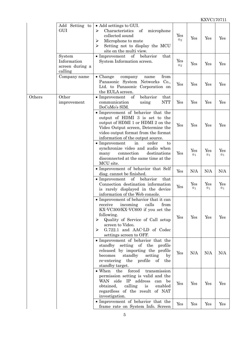|        | Add Setting to<br>GUI                               | • Add settings to GUI.<br>Characteristics<br>of<br>microphone<br>⋗<br>collected sound<br>Microphone to mute<br>$\blacktriangleright$<br>Setting not to display the MCU<br>⋗<br>site on the multi view.                                                      | Yes<br>$\divideontimes_2$ | Yes                   | Yes                   | Yes                   |
|--------|-----------------------------------------------------|-------------------------------------------------------------------------------------------------------------------------------------------------------------------------------------------------------------------------------------------------------------|---------------------------|-----------------------|-----------------------|-----------------------|
|        | System<br>Information<br>screen during a<br>calling | of<br>behavior<br>that<br>$\bullet$ Improvement<br>System Information screen.                                                                                                                                                                               | Yes<br>$\divideontimes_2$ | Yes                   | Yes                   | Yes                   |
|        | Company name                                        | from<br>$\bullet$ Change<br>company<br>name<br>Panasonic System Networks<br>Co.,<br>Ltd. to Panasonic Corporation on<br>the EULA screen.                                                                                                                    | Yes                       | Yes                   | Yes                   | Yes                   |
| Others | Other<br>improvement                                | of<br>that<br>$\bullet$ Improvement<br>behavior<br><b>NTT</b><br>communication<br>using<br>DoCoMo's SIM.                                                                                                                                                    | Yes                       | Yes                   | Yes                   | Yes                   |
|        |                                                     | • Improvement of behavior that the<br>output of HDMI 3 is set to the<br>output of HDMI 1 or HDMI 2 on the<br>Video Output screen, Determine the<br>video output format from the format<br>information of the output source.                                 | Yes                       | Yes                   | Yes                   | Yes                   |
|        |                                                     | $\bullet$ Improvement<br>order<br>in<br>to<br>synchronize video and audio when<br>connection<br>destinations<br>many<br>disconnected at the same time at the<br>MCU site.                                                                                   | Yes                       | Yes<br>$\mathbb{X}_1$ | Yes<br>$\mathbb{X}_1$ | Yes<br>$\mathbb{X}_1$ |
|        |                                                     | · Improvement of behavior that Self<br>diag. cannot be finished.                                                                                                                                                                                            | Yes                       | N/A                   | N/A                   | N/A                   |
|        |                                                     | $\bullet$ Improvement<br>of<br>behavior<br>that<br>Connection destination information<br>is rarely displayed in the device<br>information of the Web console.                                                                                               | Yes                       | Yes<br>$\mathbb{X}_1$ | Yes<br>$\mathbb{X}_1$ | Yes<br>$\mathbb{X}_1$ |
|        |                                                     | • Improvement of behavior that it can<br>calls<br>incoming<br>from<br>receive<br>KX-VC300/KX-VC600 if you set the<br>following.<br>Quality of Service of Call setup<br>➤<br>screen to Video.<br>G.722.1 and AAC-LD of Codec<br>⋗<br>settings screen to OFF. | Yes                       | Yes                   | Yes                   | Yes                   |
|        |                                                     | • Improvement of behavior that the<br>standby setting of the<br>profile<br>released by importing the profile<br>standby<br>becomes<br>setting<br>by<br>re-entering<br>the profile<br>of the<br>standby target.                                              | Yes                       | N/A                   | N/A                   | N/A                   |
|        |                                                     | forced<br>$\bullet$ When<br>the<br>transmission<br>permission setting is valid and the<br>WAN side IP address<br>can be<br>calling<br>enabled<br>obtained,<br>is<br>regardless of the result of NAT<br>investigation.                                       | Yes                       | Yes                   | Yes                   | Yes                   |
|        |                                                     | • Improvement of behavior that the<br>frame rate on System Info. Screen                                                                                                                                                                                     | Yes                       | Yes                   | Yes                   | Yes                   |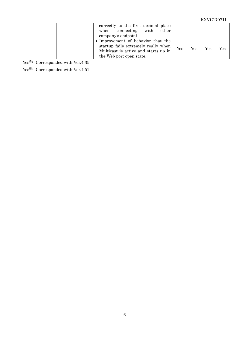| correctly to the first decimal place<br>connecting with<br>other<br>when<br>company's endpoint.                                               |     |     |     |     |
|-----------------------------------------------------------------------------------------------------------------------------------------------|-----|-----|-----|-----|
| • Improvement of behavior that the<br>startup fails extremely really when<br>Multicast is active and starts up in<br>the Web port open state. | Yes | Yes | Yes | Yes |

Yes<sup>※1:</sup> Corresponded with Ver.4.35

Yes<br>※2: Corresponded with Ver.4.51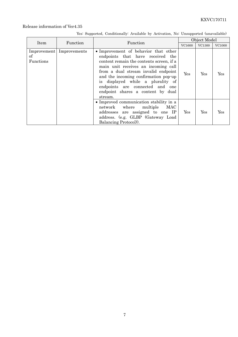|                 |                            |                                                                                                                                                                                                                                                                                                                                                                    |        | Object Model |               |
|-----------------|----------------------------|--------------------------------------------------------------------------------------------------------------------------------------------------------------------------------------------------------------------------------------------------------------------------------------------------------------------------------------------------------------------|--------|--------------|---------------|
| Item            | Function                   | Function                                                                                                                                                                                                                                                                                                                                                           | VC1600 | VC1300       | <b>VC1000</b> |
| οf<br>Functions | Improvement   Improvements | • Improvement of behavior that other<br>endpoints that have received the<br>content remain the contents screen, if a<br>main unit receives an incoming call<br>from a dual stream invalid endpoint<br>and the incoming confirmation pop-up<br>is displayed while a plurality of<br>endpoints are connected and one<br>endpoint shares a content by dual<br>stream. | Yes    | Yes          | Yes           |
|                 |                            | • Improved communication stability in a<br>network where multiple MAC<br>addresses are assigned to one IP<br>address. (e.g. GLBP (Gateway Load)<br>Balancing Protocol).                                                                                                                                                                                            | Yes    | Yes          | Yes           |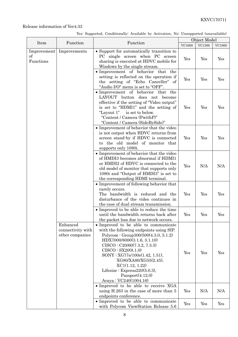|                                      |                                                  |                                                                                                                                                                                                                                                                                                                                                                               | Object Model  |        |                      |
|--------------------------------------|--------------------------------------------------|-------------------------------------------------------------------------------------------------------------------------------------------------------------------------------------------------------------------------------------------------------------------------------------------------------------------------------------------------------------------------------|---------------|--------|----------------------|
| Item                                 | Function                                         | Function                                                                                                                                                                                                                                                                                                                                                                      | <b>VC1600</b> | VC1300 | <b>VC1000</b>        |
| Improvement<br>$\sigma$<br>Functions | Improvements                                     | • Support for automatically transition to<br>PC single screen when PC screen<br>sharing is executed at HDVC mobile for<br>Windows by the single stream.                                                                                                                                                                                                                       | Yes           | Yes    | Yes                  |
|                                      |                                                  | • Improvement of behavior that<br>the<br>setting is reflected on the operation if<br>the setting of "Echo Canceller" of<br>"Audio I/O" menu is set to "OFF".                                                                                                                                                                                                                  | Yes           | Yes    | Yes                  |
|                                      |                                                  | • Improvement of behavior that the<br><b>LAYOUT</b><br>button does<br>not<br>become<br>effective if the setting of "Video output"<br>is set to "HDMI1" and the setting of<br>"Layout 1" is set to below.<br>"Content / Camera (PwithP)"<br>"Content / Camera (SideBySide)"                                                                                                    | Yes           | Yes    | Yes                  |
|                                      |                                                  | • Improvement of behavior that the video<br>is not output when HDVC returns from<br>screen stand-by if HDVC is connected<br>to the old model of monitor that<br>supports only 1080i.                                                                                                                                                                                          | Yes           | Yes    | $\operatorname{Yes}$ |
|                                      |                                                  | • Improvement of behavior that the video<br>of HMDI3 becomes abnormal if HDMI1<br>or HMDI2 of HDVC is connected to the<br>old model of monitor that supports only<br>1080i and "Output of HMDI3" is set to<br>the corresponding HDMI terminal.                                                                                                                                | Yes           | N/A    | N/A                  |
|                                      |                                                  | • Improvement of following behavior that<br>rarely occurs.<br>The bandwidth is reduced and the<br>disturbance of the video continues in<br>the case of dual stream transmission.                                                                                                                                                                                              | Yes           | Yes    | Yes                  |
|                                      |                                                  | • Improved to be able to reduce the time<br>until the bandwidth returns back after<br>the packet loss due to network occurs.                                                                                                                                                                                                                                                  | Yes           | Yes    | Yes                  |
|                                      | Enhanced<br>connectivity with<br>other companies | • Improved to be able to communicate<br>with the following endpoints using SIP.<br>Polycom : Group300/500(4.3.0, 5.1.2)<br>HDX7000/8000(3.1.6, 3.1.10)<br>CISCO: C20/60(7.3.2, 7.3.5)<br>CISCO : SX20(8.1.0)<br>SONY : XG77s/100s(1.42, 1.51),<br>XG80/XA80/XG55(2.45),<br>XC1(1.12, 1.22)<br>Lifesize : $Express 220(5.0.3),$<br>Passport(4.12.0)<br>Avaya: $VC240(1004.16)$ | Yes           | Yes    | Yes                  |
|                                      |                                                  | • Improved to be able to receive XGA<br>using H.263 in the case of more than 5<br>endpoints conference.                                                                                                                                                                                                                                                                       | Yes           | N/A    | N/A                  |
|                                      |                                                  | • Improved to be able to communicate<br>with Polycom ViewStation Release 5.6                                                                                                                                                                                                                                                                                                  | Yes           | Yes    | Yes                  |

Yes: Supported, Conditionally: Available by Activation, No: Unsupported (unavailable)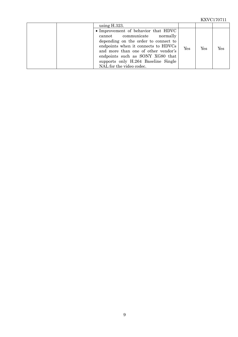| using $H.323$ .                                                                                                                                                                                                                                                                                 |     |     |     |
|-------------------------------------------------------------------------------------------------------------------------------------------------------------------------------------------------------------------------------------------------------------------------------------------------|-----|-----|-----|
| • Improvement of behavior that HDVC<br>cannot communicate normally<br>depending on the order to connect to<br>endpoints when it connects to HDVCs<br>and more than one of other vendor's<br>endpoints such as SONY XG80 that<br>supports only H.264 Baseline Single<br>NAL for the video codec. | Yes | Yes | Yes |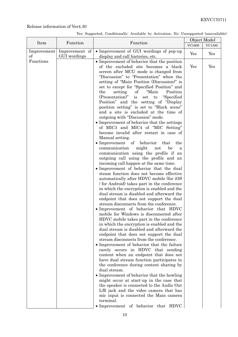| Yes: Supported, Conditionally: Available by Activation, No: Unsupported (unavailable) |  |  |  |  |  |  |
|---------------------------------------------------------------------------------------|--|--|--|--|--|--|
|---------------------------------------------------------------------------------------|--|--|--|--|--|--|

|                         |                                |                                                                                                                                                                                                                       | Object Model |        |  |
|-------------------------|--------------------------------|-----------------------------------------------------------------------------------------------------------------------------------------------------------------------------------------------------------------------|--------------|--------|--|
| Item                    | Function                       | Function                                                                                                                                                                                                              | VC1600       | VC1300 |  |
| Improvement<br>$\sigma$ | Improvement of<br>GUI wordings | • Improvement of GUI wordings of pop-up<br>display and call histories, etc.                                                                                                                                           | Yes          | Yes    |  |
| Functions               |                                | • Improvement of behavior that the position<br>of the excluded site becomes a black<br>screen after MCU mode is changed from<br>"Discussion" to "Presentation" when the<br>setting of "Main Position (Discussion)" is | Yes          | Yes    |  |
|                         |                                | set to except for "Specified Position" and<br>"Main<br>Position<br>the<br>setting<br>of<br>(Presentation)"<br>"Specified<br>set<br>to<br><i>is</i><br>Position" and the setting of "Display"                          |              |        |  |
|                         |                                | position setting" is set to "Black scene"<br>and a site is excluded at the time of<br>outgoing with "Discussion" mode.<br>• Improvement of behavior that the settings<br>of MIC3 and MIC4 of "MIC Setting"            |              |        |  |
|                         |                                | become invalid after restart in case of<br>Manual setting.                                                                                                                                                            |              |        |  |
|                         |                                | • Improvement of behavior<br>that<br>the<br>communication<br>might<br>be<br>not<br>a                                                                                                                                  |              |        |  |
|                         |                                | communication using the profile if an<br>outgoing call using the profile and an<br>incoming call happen at the same time.                                                                                             |              |        |  |
|                         |                                | • Improvement of behavior that the dual<br>steam function does not become effective<br>automatically after HDVC mobile (for iOS                                                                                       |              |        |  |
|                         |                                | / for Android) takes part in the conference<br>in which the encryption is enabled and the<br>dual stream is disabled and afterward the                                                                                |              |        |  |
|                         |                                | endpoint that does not support the dual<br>stream disconnects from the conference.<br>· Improvement of behavior that HDVC                                                                                             |              |        |  |
|                         |                                | mobile for Windows is disconnected after<br>HDVC mobile takes part in the conference<br>in which the encryption is enabled and the                                                                                    |              |        |  |
|                         |                                | dual stream is disabled and afterward the<br>endpoint that does not support the dual<br>stream disconnects from the conference.                                                                                       |              |        |  |
|                         |                                | • Improvement of behavior that the failure<br>rarely occurs in HDVC that sending<br>content when an endpoint that does not                                                                                            |              |        |  |
|                         |                                | have dual stream function participates in<br>the conference during content sharing by<br>dual stream.                                                                                                                 |              |        |  |
|                         |                                | • Improvement of behavior that the howling<br>might occur at start-up in the case that                                                                                                                                |              |        |  |
|                         |                                | the speaker is connected to the Audio Out<br>L/R jack and the video camera that has<br>mic input is connected the Main camera                                                                                         |              |        |  |
|                         |                                | terminal.<br>that HDVC<br>• Improvement of behavior                                                                                                                                                                   |              |        |  |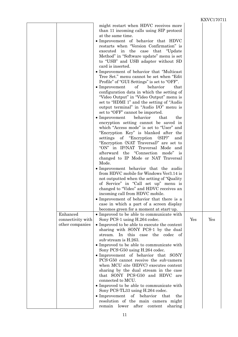|                                                  |                                                                                                                                                                                                                                                                                                                                                                                                                                                                                                                                                                                                                                                                                                                                                                                                                                                                                                                                                                                                                                                                                                                                                                                                                                                                                                                                                                                                                                                                                                                                                                                                                                                                                                                                                                                                                                                                                                                                                                                                                                                                                                                                                                                                                                                                                                                                        |     | 1121 V U L I U L . |  |
|--------------------------------------------------|----------------------------------------------------------------------------------------------------------------------------------------------------------------------------------------------------------------------------------------------------------------------------------------------------------------------------------------------------------------------------------------------------------------------------------------------------------------------------------------------------------------------------------------------------------------------------------------------------------------------------------------------------------------------------------------------------------------------------------------------------------------------------------------------------------------------------------------------------------------------------------------------------------------------------------------------------------------------------------------------------------------------------------------------------------------------------------------------------------------------------------------------------------------------------------------------------------------------------------------------------------------------------------------------------------------------------------------------------------------------------------------------------------------------------------------------------------------------------------------------------------------------------------------------------------------------------------------------------------------------------------------------------------------------------------------------------------------------------------------------------------------------------------------------------------------------------------------------------------------------------------------------------------------------------------------------------------------------------------------------------------------------------------------------------------------------------------------------------------------------------------------------------------------------------------------------------------------------------------------------------------------------------------------------------------------------------------------|-----|--------------------|--|
| Enhanced<br>connectivity with<br>other companies | might restart when HDVC receives more<br>than 11 incoming calls using SIP protocol<br>at the same time.<br>• Improvement of behavior that HDVC<br>restarts when "Version Confirmation" is<br>executed in the case that<br>"Update"<br>Method" in "Software update" menu is set<br>to "USB" and USB adapter without SD<br>card is inserted.<br>• Improvement of behavior that "Multicast"<br>Tree Set." menu cannot be set when "Edit"<br>Profile" of "GUI Settings" is set to "OFF".<br>$\bullet$ Improvement<br>of<br>behavior<br>that<br>configuration data in which the setting of<br>"Video Output" in "Video Output" menu is<br>set to "HDMI 1" and the setting of "Audio"<br>output terminal" in "Audio I/O" menu is<br>set to "OFF" cannot be imported.<br>$\bullet$ Improvement<br>behavior<br>that<br>the<br>encryption setting cannot be saved in<br>which "Access mode" is set to "User" and<br>"Encryption Key" is blanked after the<br>settings of "Encryption (SIP)"<br>and<br>"Encryption (NAT Traversal)" are set to<br>"ON" in IP/NAT Traversal Mode and<br>afterward the "Connection mode" is<br>changed to IP Mode or NAT Traversal<br>Mode.<br>• Improvement behavior that the audio<br>from HDVC mobile for Windows Ver3.14 is<br>not outputted when the setting of "Quality"<br>of Service" in "Call set up" menu is<br>changed to "Video" and HDVC receives an<br>incoming call from HDVC mobile.<br>• Improvement of behavior that there is a<br>case in which a part of a screen display<br>becomes green for a moment at start-up.<br>• Improved to be able to communicate with<br>Sony PCS-1 using H.264 codec.<br>• Improved to be able to execute the content<br>sharing with SONY PCS-1 by the dual<br>stream.<br>In this case the codec of<br>sub-stream is H.263.<br>• Improved to be able to communicate with<br>Sony PCS-G50 using H.264 codec.<br>• Improvement of behavior that SONY<br>PCS-G50 cannot receive the sub-camera<br>when MCU site (HDVC) executes content<br>sharing by the dual stream in the case<br>that SONY PCS-G50 and HDVC are<br>connected to MCU.<br>• Improved to be able to communicate with<br>Sony PCS-TL33 using H.264 codec.<br>$\bullet$ Improvement<br>of behavior<br>that<br>the<br>resolution of the main camera might<br>remain lower after<br>content<br>sharing | Yes | Yes                |  |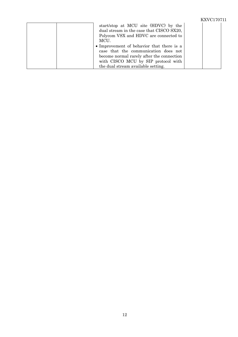|                                                                                                                                                                                                                                                                                                                                                  | KXVC170711 |
|--------------------------------------------------------------------------------------------------------------------------------------------------------------------------------------------------------------------------------------------------------------------------------------------------------------------------------------------------|------------|
| start/stop at MCU site (HDVC) by the<br>dual stream in the case that CISCO SX20,<br>Polycom VSX and HDVC are connected to<br>MCU.<br>• Improvement of behavior that there is a<br>case that the communication does not<br>become normal rarely after the connection<br>with CISCO MCU by SIP protocol with<br>the dual stream available setting. |            |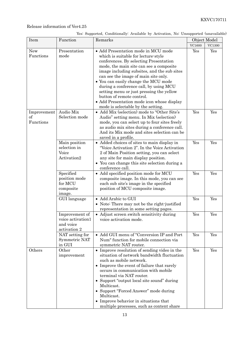| Yes: Supported, Conditionally: Available by Activation, No: Unsupported (unavailable) |  |  |  |
|---------------------------------------------------------------------------------------|--|--|--|
|                                                                                       |  |  |  |

| Item                           | Function                                                         | Remarks                                                                                                                                                                                                                                                                                                                                                                                                                                                                                               |        | Object Model  |
|--------------------------------|------------------------------------------------------------------|-------------------------------------------------------------------------------------------------------------------------------------------------------------------------------------------------------------------------------------------------------------------------------------------------------------------------------------------------------------------------------------------------------------------------------------------------------------------------------------------------------|--------|---------------|
|                                |                                                                  |                                                                                                                                                                                                                                                                                                                                                                                                                                                                                                       | VC1600 | <b>VC1300</b> |
| <b>New</b><br>Functions        | Presentation<br>mode                                             | · Add Presentation mode in MCU mode<br>which is suitable for lecture-style<br>conferences. By selecting Presentation<br>mode, the main site can see a composite<br>image including subsites, and the sub sites<br>can see the image of main site only.<br>• You can easily change the MCU mode<br>during a conference call, by using MCU<br>setting menu or just pressing the yellow<br>button of remote control.<br>• Add Presentation mode icon whose display<br>mode is selectable by the setting. | Yes    | Yes           |
| Improvement<br>of<br>Functions | Audio Mix<br>Selection mode                                      | • Add Mix (selection) mode to "Other Site's<br>Audio" setting menu. In Mix (selection)<br>mode, you can select up to four sites freely<br>as audio mix sites during a conference call.<br>And its Mix mode and sites selection can be<br>saved in a profile.                                                                                                                                                                                                                                          | Yes    | Yes           |
|                                | Main position<br>selection in<br>Voice<br>Activation2            | • Added choices of sites to main display in<br>"Voice Activation 2". In the Voice Activation<br>2 of Main Position setting, you can select<br>any site for main display position.<br>• You can change this site selection during a<br>conference call.                                                                                                                                                                                                                                                | Yes    | Yes           |
|                                | Specified<br>position mode<br>for MCU<br>composite<br>image.     | • Add specified position mode for MCU<br>composite image. In this mode, you can see<br>each sub site's image in the specified<br>position of MCU composite image.                                                                                                                                                                                                                                                                                                                                     | Yes    | Yes           |
|                                | GUI language                                                     | • Add Arabic to GUI<br>• Note: There may not be the right-justified<br>representation in some setting pages.                                                                                                                                                                                                                                                                                                                                                                                          | Yes    | Yes           |
|                                | Improvement of<br>voice activation1<br>and voice<br>activation 2 | • Adjust screen switch sensitivity during<br>voice activation mode.                                                                                                                                                                                                                                                                                                                                                                                                                                   | Yes    | Yes           |
|                                | NAT setting for<br>Symmetric NAT<br>in GUI                       | • Add GUI menu of "Conversion IP and Port<br>Num" function for mobile connection via<br>symmetric NAT router.                                                                                                                                                                                                                                                                                                                                                                                         | Yes    | Yes           |
| Others                         | Other<br>improvement                                             | • Improve resolution of sending video in the<br>situation of network bandwidth fluctuation<br>such as mobile network.<br>• Improve the event of failure that rarely<br>occurs in communication with mobile<br>terminal via NAT router.<br>• Support "output local site sound" during<br>Multicast.<br>• Support "Forced Answer" mode during<br>Multicast.<br>• Improve behavior in situations that<br>multiple processes, such as content share                                                       | Yes    | Yes           |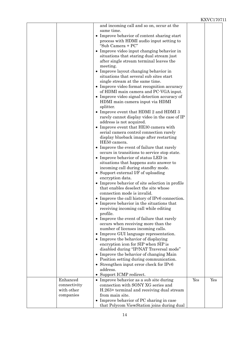|              | and incoming call and so on, occur at the                                     |     |     |
|--------------|-------------------------------------------------------------------------------|-----|-----|
|              | same time.                                                                    |     |     |
|              | • Improve behavior of content sharing start                                   |     |     |
|              | process with HDMI audio input setting to<br>"Sub Camera + PC"                 |     |     |
|              | • Improve video input changing behavior in                                    |     |     |
|              | situations that staring dual stream just                                      |     |     |
|              | after single stream terminal leaves the                                       |     |     |
|              | meeting.                                                                      |     |     |
|              | • Improve layout changing behavior in                                         |     |     |
|              | situations that several sub sites start                                       |     |     |
|              | single stream at the same time.                                               |     |     |
|              | • Improve video format recognition accuracy                                   |     |     |
|              | of HDMI main camera and PC-VGA input.                                         |     |     |
|              | • Improve video signal detection accuracy of                                  |     |     |
|              | HDMI main camera input via HDMI                                               |     |     |
|              | splitter.                                                                     |     |     |
|              | • Improve event that HDMI 2 and HDMI 3                                        |     |     |
|              | rarely cannot display video in the case of IP<br>address is not acquired.     |     |     |
|              | • Improve event that HE30 camera with                                         |     |     |
|              | serial camera control connection rarely                                       |     |     |
|              | display blueback image after restarting                                       |     |     |
|              | HE50 camera.                                                                  |     |     |
|              | • Improve the event of failure that rarely                                    |     |     |
|              | occurs in transitions to service stop state.                                  |     |     |
|              | • Improve behavior of status LED in                                           |     |     |
|              | situations that happens auto answer to                                        |     |     |
|              | incoming call during standby mode.                                            |     |     |
|              | • Support external I/F of uploading                                           |     |     |
|              | encryption data.                                                              |     |     |
|              | • Improve behavior of site selection in profile                               |     |     |
|              | that enables deselect the site whose                                          |     |     |
|              | connection mode is invalid.<br>• Improve the call history of IPv6 connection. |     |     |
|              | • Improve behavior in the situations that                                     |     |     |
|              | receiving incoming call while editing                                         |     |     |
|              | profile.                                                                      |     |     |
|              | • Improve the event of failure that rarely                                    |     |     |
|              | occurs when receiving more than the                                           |     |     |
|              | number of licenses incoming calls.                                            |     |     |
|              | • Improve GUI language representation.                                        |     |     |
|              | • Improve the behavior of displaying                                          |     |     |
|              | encryption icon for SIP when SIP is                                           |     |     |
|              | disabled during "IP/NAT Traversal mode"                                       |     |     |
|              | • Improve the behavior of changing Main                                       |     |     |
|              | Position setting during communication.                                        |     |     |
|              | • Strengthen input error check for IPv6<br>address.                           |     |     |
|              | • Support ICMP redirect.                                                      |     |     |
| Enhanced     | • Improve behavior as a sub site during                                       | Yes | Yes |
| connectivity | connection with SONY XG series and                                            |     |     |
| with other   | H.263+ terminal and receiving dual stream                                     |     |     |
| companies    | from main site.                                                               |     |     |
|              | • Improve behavior of PC sharing in case                                      |     |     |
|              | that Polycom ViewStation joins during dual                                    |     |     |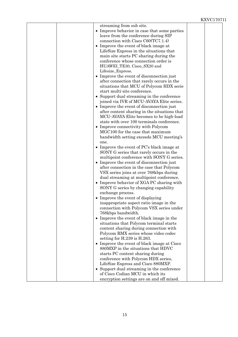|  | streaming from sub site.<br>• Improve behavior in case that some parties   |  |
|--|----------------------------------------------------------------------------|--|
|  | leave from the conference during SIP                                       |  |
|  | connection with $Cisco$ $C60(TC7.1.4)$                                     |  |
|  | • Improve the event of black image at                                      |  |
|  | LifeSize Express in the situations that                                    |  |
|  | main site starts PC sharing during the                                     |  |
|  | conference whose connection order is                                       |  |
|  | HUAWEI_TE30, Cisco_SX20 and<br>Lifesize_Express.                           |  |
|  | Improve the event of disconnection just                                    |  |
|  | after connection that rarely occurs in the                                 |  |
|  | situations that MCU of Polycom HDX serie                                   |  |
|  | start multi-site conference.                                               |  |
|  | Support dual streaming in the conference<br>$\bullet$                      |  |
|  | joined via IVR of MCU-AVAYA Elite series.                                  |  |
|  | • Improve the event of disconnection just                                  |  |
|  | after content sharing in the situations that                               |  |
|  | MCU-AVAYA Elite becomes to be high-load                                    |  |
|  | state with over 100 terminals conference.                                  |  |
|  | • Improve connectivity with Polycom<br>MGC100 for the case that maximum    |  |
|  | bandwidth setting exceeds MCU meeting's                                    |  |
|  | one.                                                                       |  |
|  | • Improve the event of PC's black image at                                 |  |
|  | SONY G series that rarely occurs in the                                    |  |
|  | multipoint conference with SONY G series.                                  |  |
|  | Improve the event of disconnection just                                    |  |
|  | after connection in the case that Polycom                                  |  |
|  | VSX series joins at over 768kbps during                                    |  |
|  | dual streaming at multipoint conference.                                   |  |
|  | • Improve behavior of XGA PC sharing with                                  |  |
|  | SONY G series by changing capability                                       |  |
|  | exchange process.                                                          |  |
|  | Improve the event of displaying<br>inappropriate aspect ratio image in the |  |
|  | connection with Polycom VSX series under                                   |  |
|  | 768kbps bandwidth.                                                         |  |
|  | Improve the event of black image in the<br>$\bullet$                       |  |
|  | situations that Polycom terminal starts                                    |  |
|  | content sharing during connection with                                     |  |
|  | Polycom RMX series whose video codec                                       |  |
|  | setting for H.239 is H.263.                                                |  |
|  | Improve the event of black image at Cisco<br>$\bullet$                     |  |
|  | 880MXP in the situations that HDVC                                         |  |
|  | starts PC content sharing during                                           |  |
|  | conference with Polycom HDX series,<br>LifeSize Express and Cisco 880MXP.  |  |
|  | • Support dual streaming in the conference                                 |  |
|  | of Cisco Codian MCU in which its                                           |  |
|  | encryption settings are on and off mixed.                                  |  |
|  |                                                                            |  |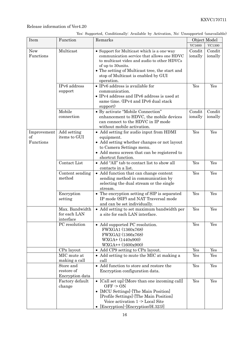|  |  |  | Yes: Supported, Conditionally: Available by Activation, No: Unsupported (unavailable) |  |
|--|--|--|---------------------------------------------------------------------------------------|--|
|  |  |  |                                                                                       |  |

| Item                           | Function                                    | Remarks                                                                                                                                                                                                                                                             |                   | Object Model         |
|--------------------------------|---------------------------------------------|---------------------------------------------------------------------------------------------------------------------------------------------------------------------------------------------------------------------------------------------------------------------|-------------------|----------------------|
|                                |                                             |                                                                                                                                                                                                                                                                     | <b>VC1600</b>     | VC1300               |
| <b>New</b><br>Functions        | Multicast                                   | • Support for Multicast which is a one-way<br>communication service that allows one HDVC<br>to multicast video and audio to other HDVCs<br>of up to 30units.<br>• The setting of Multicast tree, the start and<br>stop of Multicast is enabled by GUI<br>operation. | Condit<br>ionally | Condit<br>ionally    |
|                                | IPv6 address<br>support                     | $\bullet$ IPv6 address is available for<br>communication.<br>• IPv4 address and IPv6 address is used at<br>same time. (IPv4 and IPv6 dual stack<br>support)                                                                                                         | Yes               | Yes                  |
|                                | Mobile<br>connection                        | • By activate "Mobile Connection"<br>enhancement to HDVC, the mobile devices<br>can connect to the HDVC in IP mode<br>without mobile activation.                                                                                                                    | Condit<br>ionally | Condit<br>ionally    |
| Improvement<br>of<br>Functions | Add setting<br>items to GUI                 | • Add setting for audio input from HDMI<br>equipment.<br>• Add setting whether changes or not layout<br>to Camera Settings menu.<br>• Add menu screen that can be registered to<br>shortcut function.                                                               | Yes               | Yes                  |
|                                | Contact List                                | • Add "All" tab to contact list to show all<br>contacts in a list.                                                                                                                                                                                                  | Yes               | Yes                  |
|                                | Content sending<br>method                   | • Add function that can change content<br>sending method in communication by<br>selecting the dual stream or the single<br>stream.                                                                                                                                  | Yes               | Yes                  |
|                                | Encryption<br>setting                       | • The encryption setting of SIP is separated<br>IP mode (SIP) and NAT Traversal mode<br>and can be set individually.                                                                                                                                                | Yes               | Yes                  |
|                                | Max. Bandwidth<br>for each LAN<br>interface | • Add setting to set maximum bandwidth per<br>a site for each LAN interface.                                                                                                                                                                                        | Yes               | Yes                  |
|                                | PC resolution                               | • Add supported PC resolution.<br>FWXGA1 (1360x768)<br>FWXGA2 (1366x768)<br>WXGA+ (1440x900)<br>$WXGA++(1600x900)$                                                                                                                                                  | Yes               | Yes                  |
|                                | CPn layout                                  | • Add CP9 setting to CPn layout.                                                                                                                                                                                                                                    | Yes               | Yes                  |
|                                | MIC mute at<br>making a call                | • Add setting to mute the MIC at making a<br>call                                                                                                                                                                                                                   | Yes               | $\operatorname{Yes}$ |
|                                | Store and<br>restore of<br>Encryption data  | • Add function to store and restore the<br>Encryption configuration data.                                                                                                                                                                                           | Yes               | Yes                  |
|                                | Factory default<br>change                   | • [Call set up] $\cdot$ [More than one incoming call]<br>$OFF \ge ON$<br>• [MCU Settings] [The Main Position]<br>[Profile Settings] - [The Main Position]<br>Voice activation 1 -> Local Site<br>• [Encryption] [Encryption(H.323)]                                 | Yes               | Yes                  |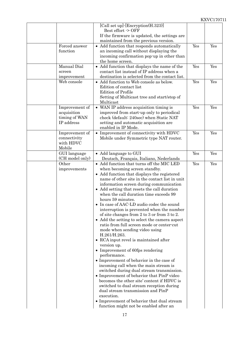|                                                              | [Call set up] [Encryption(H.323)]<br>Best effort -> OFF<br>If the firmware is updated, the settings are<br>maintained from the previous version.                                                                                                                                                                                                                                                                                                                                                                                                                                                                                                                                                                                                                                                                                                                                                                                                                                                                                                                                                                                                             |     |     |
|--------------------------------------------------------------|--------------------------------------------------------------------------------------------------------------------------------------------------------------------------------------------------------------------------------------------------------------------------------------------------------------------------------------------------------------------------------------------------------------------------------------------------------------------------------------------------------------------------------------------------------------------------------------------------------------------------------------------------------------------------------------------------------------------------------------------------------------------------------------------------------------------------------------------------------------------------------------------------------------------------------------------------------------------------------------------------------------------------------------------------------------------------------------------------------------------------------------------------------------|-----|-----|
| Forced answer<br>function                                    | • Add function that responds automatically<br>an incoming call without displaying the<br>incoming confirmation pop-up in other than<br>the home screen.                                                                                                                                                                                                                                                                                                                                                                                                                                                                                                                                                                                                                                                                                                                                                                                                                                                                                                                                                                                                      | Yes | Yes |
| Manual Dial<br>screen<br>improvement                         | • Add function that displays the name of the<br>contact list instead of IP address when a<br>destination is selected from the contact list.                                                                                                                                                                                                                                                                                                                                                                                                                                                                                                                                                                                                                                                                                                                                                                                                                                                                                                                                                                                                                  | Yes | Yes |
| Web console                                                  | • Add function to Web console as below.<br>Edition of contact list<br><b>Edition of Profile</b><br>Setting of Multicast tree and start/stop of<br>Multicast                                                                                                                                                                                                                                                                                                                                                                                                                                                                                                                                                                                                                                                                                                                                                                                                                                                                                                                                                                                                  | Yes | Yes |
| Improvement of<br>acquisition<br>timing of WAN<br>IP address | • WAN IP address acquisition timing is<br>improved from start-up only to periodical<br>check (default: 240sec) when Static NAT<br>setting and automatic acquisition are<br>enabled in IP Mode.                                                                                                                                                                                                                                                                                                                                                                                                                                                                                                                                                                                                                                                                                                                                                                                                                                                                                                                                                               | Yes | Yes |
| Improvement of<br>connectivity<br>with HDVC<br>Mobile        | • Improvement of connectivity with HDVC<br>Mobile under Symmetric type NAT router.                                                                                                                                                                                                                                                                                                                                                                                                                                                                                                                                                                                                                                                                                                                                                                                                                                                                                                                                                                                                                                                                           | Yes | Yes |
| GUI language<br>(CH model only)                              | • Add language to GUI<br>Deutsch, Français, Italiano, Nederlands                                                                                                                                                                                                                                                                                                                                                                                                                                                                                                                                                                                                                                                                                                                                                                                                                                                                                                                                                                                                                                                                                             | Yes | Yes |
| Other<br>improvements                                        | • Add function that turns off the MIC LED<br>when becoming screen standby.<br>• Add function that displays the registered<br>name of other site in the contact list in unit<br>information screen during communication<br>• Add setting that resets the call duration<br>when the call duration time exceeds 99<br>hours 59 minutes.<br>• In case of AAC-LD audio codec the sound<br>interruption is prevented when the number<br>of site changes from 2 to 3 or from 3 to 2.<br>• Add the setting to select the camera aspect<br>ratio from full screen mode or center-cut<br>mode when sending video using<br>H.261/H.263.<br>• RCA input revel is maintained after<br>version up.<br>• Improvement of 60fps rendering<br>performance.<br>• Improvement of behavior in the case of<br>incoming call when the main stream is<br>switched during dual stream transmission.<br>• Improvement of behavior that PinP video<br>becomes the other site' content if HDVC is<br>switched to dual stream reception during<br>dual stream transmission and PinP<br>execution.<br>• Improvement of behavior that dual stream<br>function might not be enabled after an | Yes | Yes |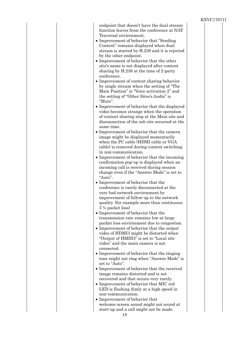| endpoint that doesn't have the dual stream    |  |
|-----------------------------------------------|--|
| function leaves from the conference at NAT    |  |
| Traversal environment.                        |  |
| • Improvement of behavior that "Sending"      |  |
| Content" remains displayed when dual          |  |
| stream is started by H.239 and it is rejected |  |
| by the other endpoint.                        |  |
| • Improvement of behavior that the other      |  |
| site's name is not displayed after content    |  |
| sharing by H.239 at the time of 2-party       |  |
| conference.                                   |  |
| • Improvement of content sharing behavior     |  |
| by single stream when the setting of "The     |  |
| Main Position" is "Voice activation 2" and    |  |
|                                               |  |
| the setting of "Other Sites's Audio" is       |  |
| "Mute".                                       |  |
| • Improvement of behavior that the displayed  |  |
| video becomes strange when the operation      |  |
| of content sharing stop at the Main site and  |  |
| disconnection of the sub site occurred at the |  |
| same time.                                    |  |
| • Improvement of behavior that the camera     |  |
| image might be displayed momentarily          |  |
| when the PC cable (HDMI cable or VGA          |  |
| cable) is removed during content switching    |  |
| in non-communication.                         |  |
| • Improvement of behavior that the incoming   |  |
| confirmation pop-up is displayed when an      |  |
| incoming call is received during session      |  |
| change even if the "Answer Mode" is set to    |  |
| "Auto".                                       |  |
|                                               |  |
|                                               |  |
| • Improvement of behavior that the            |  |
| conference is rarely disconnected at the      |  |
| very bad network environment by               |  |
| improvement of follow-up to the network       |  |
| quality. (for example more than continuous    |  |
| 3 % packet loss)                              |  |
| • Improvement of behavior that the            |  |
| transmission rate remains low at large        |  |
| packet loss environment due to congestion.    |  |
| Improvement of behavior that the output       |  |
| video of HDMI3 might be distorted when        |  |
| "Output of HMDI3" is set to "Local site"      |  |
| video" and the main camera is not             |  |
| connected.                                    |  |
| • Improvement of behavior that the ringing    |  |
| tone might not ring when "Answer Mode" is     |  |
| set to "Auto".                                |  |
| • Improvement of behavior that the received   |  |
| image remains distorted and is not            |  |
| recovered and that occurs very rarely.        |  |
| • Improvement of behavior that MIC red        |  |
| LED is flashing dimly at a high speed in      |  |
| non-communication.                            |  |
| • Improvement of behavior that                |  |
| welcome-screen sound might not sound at       |  |
| start-up and a call might not be made.        |  |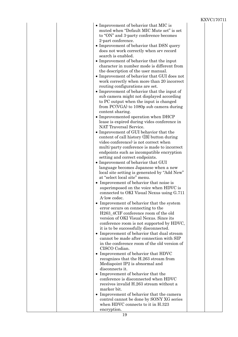|                                                                                                                                                                                                                                                                                                                                                                                                                                                                                                                                                                                                                                                                                                                                                                                                                                                                                                                                                                                                                                                                                                                                                                                                                                                                                                                                                                                                                                                                                                                                                                                                                                                                                                                                                                                                                                                                                                                                                                                                                                                                                                                                                                                                                                  | <b>NAVC</b> |  |
|----------------------------------------------------------------------------------------------------------------------------------------------------------------------------------------------------------------------------------------------------------------------------------------------------------------------------------------------------------------------------------------------------------------------------------------------------------------------------------------------------------------------------------------------------------------------------------------------------------------------------------------------------------------------------------------------------------------------------------------------------------------------------------------------------------------------------------------------------------------------------------------------------------------------------------------------------------------------------------------------------------------------------------------------------------------------------------------------------------------------------------------------------------------------------------------------------------------------------------------------------------------------------------------------------------------------------------------------------------------------------------------------------------------------------------------------------------------------------------------------------------------------------------------------------------------------------------------------------------------------------------------------------------------------------------------------------------------------------------------------------------------------------------------------------------------------------------------------------------------------------------------------------------------------------------------------------------------------------------------------------------------------------------------------------------------------------------------------------------------------------------------------------------------------------------------------------------------------------------|-------------|--|
| • Improvement of behavior that MIC is<br>muted when "Default MIC Mute set" is set<br>to "ON" and 3-party conference becomes<br>2-part conference.<br>• Improvement of behavior that DSN query<br>does not work correctly when srv record<br>search is enabled.<br>• Improvement of behavior that the input<br>character in number mode is different from<br>the description of the user manual.<br>• Improvement of behavior that GUI does not<br>work correctly when more than 20 incorrect<br>routing configurations are set.<br>• Improvement of behavior that the input of<br>sub camera might not displayed according<br>to PC output when the input is changed<br>from $PC(VGA)$ to 1080p sub camera during<br>content sharing.<br>• Improvemented operation when DHCP<br>lease is expired during vides conference in<br>NAT Traversal Service.<br>• Improvement of GUI behavior that the<br>content of call history ([B] button during<br>video conference) is not correct when<br>multi-party conference is made to incorrect<br>endpoints such as incompatible encryption<br>setting and correct endpoints.<br>• Improvement of behavior that GUI<br>language becomes Japanese when a new<br>local site setting is generated by "Add New"<br>at "select local site" menu.<br>• Improvement of behavior that noise is<br>superimposed on the voice when HDVC is<br>connected to OKI Visual Nexus using G.711<br>A-low codec.<br>• Improvement of behavior that the system<br>error occurs on connecting to the<br>H263_4CIF conference room of the old<br>version of OKI Visual Nexus. Since its<br>conference room is not supported by HDVC,<br>it is to be successfully disconnected.<br>• Improvement of behavior that dual stream<br>cannot be made after connection with SIP<br>in the conference room of the old version of<br>CISCO Codian.<br>• Improvement of behavior that HDVC<br>recognizes that the H.263 stream from<br>Mediapoint IP2 is abnormal and<br>disconnects it.<br>• Improvement of behavior that the<br>conference is disconnected when HDVC<br>receives invalid H.263 stream without a<br>marker bit.<br>• Improvement of behavior that the camera<br>control cannot be done by SONY XG series |             |  |
| when HDVC connects to it in H.323                                                                                                                                                                                                                                                                                                                                                                                                                                                                                                                                                                                                                                                                                                                                                                                                                                                                                                                                                                                                                                                                                                                                                                                                                                                                                                                                                                                                                                                                                                                                                                                                                                                                                                                                                                                                                                                                                                                                                                                                                                                                                                                                                                                                |             |  |
| encryption.                                                                                                                                                                                                                                                                                                                                                                                                                                                                                                                                                                                                                                                                                                                                                                                                                                                                                                                                                                                                                                                                                                                                                                                                                                                                                                                                                                                                                                                                                                                                                                                                                                                                                                                                                                                                                                                                                                                                                                                                                                                                                                                                                                                                                      |             |  |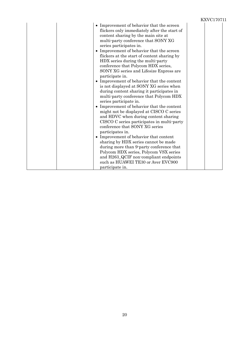| • Improvement of behavior that the screen<br>flickers only immediately after the start of<br>content sharing by the main site at<br>multi-party conference that SONY XG<br>series participates in.<br>• Improvement of behavior that the screen<br>flickers at the start of content sharing by<br>HDX series during the multi-party<br>conference that Polycom HDX series,<br>SONY XG series and Lifesize Express are<br>participate in.<br>• Improvement of behavior that the content<br>is not displayed at SONY XG series when<br>during content sharing it participates in<br>multi-party conference that Polycom HDX<br>series participate in.<br>• Improvement of behavior that the content<br>might not be displayed at CISCO C series<br>and HDVC when during content sharing<br>CISCO C series participates in multi-party<br>conference that SONY XG series<br>participates in.<br>• Improvement of behavior that content<br>sharing by HDX series cannot be made<br>during more than 9-party conference that<br>Polycom HDX series, Polycom VSX series<br>and H263_QCIF non-compliant endpoints<br>such as HUAWEI TE30 or Aver EVC900 |  |
|--------------------------------------------------------------------------------------------------------------------------------------------------------------------------------------------------------------------------------------------------------------------------------------------------------------------------------------------------------------------------------------------------------------------------------------------------------------------------------------------------------------------------------------------------------------------------------------------------------------------------------------------------------------------------------------------------------------------------------------------------------------------------------------------------------------------------------------------------------------------------------------------------------------------------------------------------------------------------------------------------------------------------------------------------------------------------------------------------------------------------------------------------|--|
| participate in.                                                                                                                                                                                                                                                                                                                                                                                                                                                                                                                                                                                                                                                                                                                                                                                                                                                                                                                                                                                                                                                                                                                                  |  |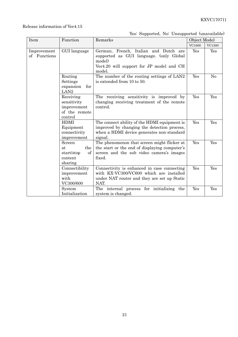#### Release information of Ver4.15

#### Yes: Supported, No: Unsupported (unavailable)

| Item                        | Function<br>Remarks                                                 |                                                                                                                                                     | Object Model |                |
|-----------------------------|---------------------------------------------------------------------|-----------------------------------------------------------------------------------------------------------------------------------------------------|--------------|----------------|
|                             |                                                                     |                                                                                                                                                     | VC1600       | VC1300         |
| Improvement<br>of Functions | GUI language                                                        | German, French, Italian and Dutch are<br>supported as GUI language. (only Global<br>model)<br>Ver4.20 will support for JP model and CH<br>model.    | Yes          | Yes            |
|                             | Routing<br>Settings<br>expansion<br>for<br>LAN2                     | The number of the routing settings of LAN2<br>is extended from 10 to 50.                                                                            | Yes          | N <sub>o</sub> |
|                             | Receiving<br>sensitivity<br>improvement<br>of the remote<br>control | The receiving sensitivity is improved by<br>changing receiving treatment of the remote<br>control.                                                  | Yes          | Yes            |
|                             | <b>HDMI</b><br>Equipment<br>connectivity<br>improvement             | The connect ability of the HDMI equipment is<br>improved by changing the detection process,<br>when a HDMI device generates non-standard<br>signal. | Yes          | Yes            |
|                             | Screen<br>the<br>at<br>of<br>start/stop<br>content<br>sharing       | The phenomenon that screen might flicker at<br>the start or the end of displaying computer's<br>screen and the sub video camera's images<br>fixed.  | Yes          | Yes            |
|                             | Connectibility<br>improvement<br>with<br>VC300/600                  | Connectivity is enhanced in case connecting<br>with KX-VC300/VC600 which are installed<br>under NAT router and they are set up Static<br>NAT.       | Yes          | Yes            |
|                             | System<br>Initialization                                            | The internal process for initializing the<br>system is changed.                                                                                     | Yes          | Yes            |